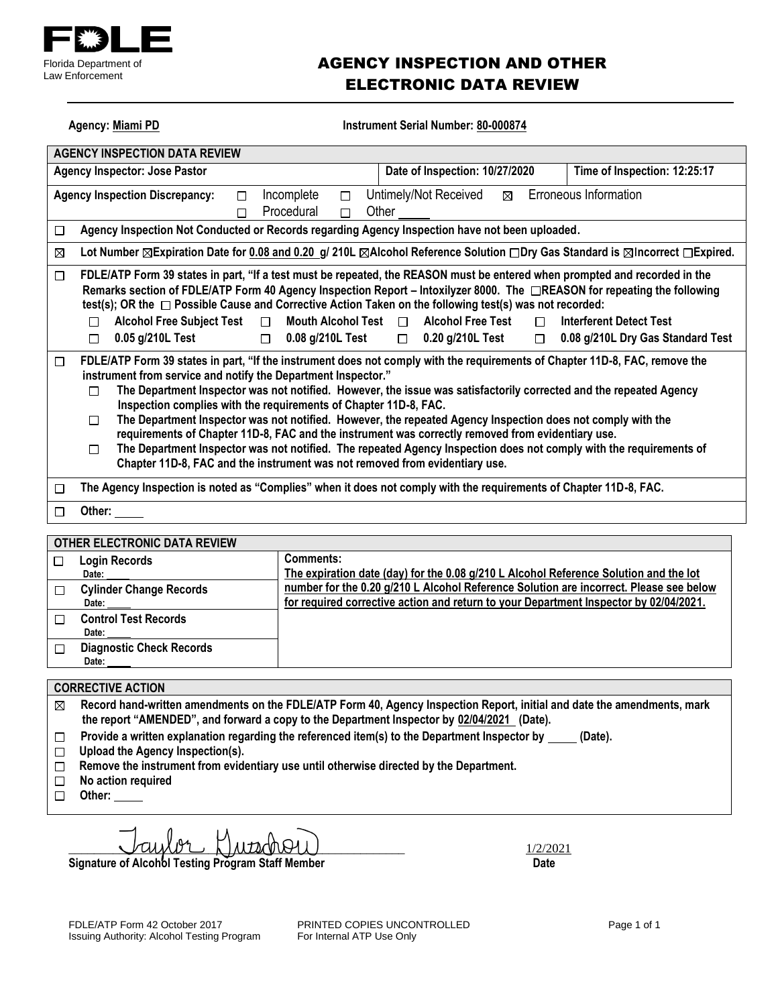

## AGENCY INSPECTION AND OTHER ELECTRONIC DATA REVIEW

Agency: Miami PD **Instrument Serial Number: 80-000874** 

| <b>AGENCY INSPECTION DATA REVIEW</b> |                                                                                                                                                                                                                                                                                                                                                                                                                                                                                                                                                                                                                                                                                                                                                                                                                                     |  |  |  |
|--------------------------------------|-------------------------------------------------------------------------------------------------------------------------------------------------------------------------------------------------------------------------------------------------------------------------------------------------------------------------------------------------------------------------------------------------------------------------------------------------------------------------------------------------------------------------------------------------------------------------------------------------------------------------------------------------------------------------------------------------------------------------------------------------------------------------------------------------------------------------------------|--|--|--|
|                                      | <b>Agency Inspector: Jose Pastor</b><br>Date of Inspection: 10/27/2020<br>Time of Inspection: 12:25:17                                                                                                                                                                                                                                                                                                                                                                                                                                                                                                                                                                                                                                                                                                                              |  |  |  |
|                                      | Erroneous Information<br>Untimely/Not Received<br><b>Agency Inspection Discrepancy:</b><br>Incomplete<br>⊠<br>$\Box$<br>□<br>Procedural<br>Other<br>П<br>П                                                                                                                                                                                                                                                                                                                                                                                                                                                                                                                                                                                                                                                                          |  |  |  |
| $\Box$                               | Agency Inspection Not Conducted or Records regarding Agency Inspection have not been uploaded.                                                                                                                                                                                                                                                                                                                                                                                                                                                                                                                                                                                                                                                                                                                                      |  |  |  |
| ⊠                                    | Lot Number ⊠Expiration Date for 0.08 and 0.20 g/ 210L ⊠Alcohol Reference Solution □Dry Gas Standard is ⊠Incorrect □Expired.                                                                                                                                                                                                                                                                                                                                                                                                                                                                                                                                                                                                                                                                                                         |  |  |  |
| □                                    | FDLE/ATP Form 39 states in part, "If a test must be repeated, the REASON must be entered when prompted and recorded in the<br>Remarks section of FDLE/ATP Form 40 Agency Inspection Report - Intoxilyzer 8000. The  TREASON for repeating the following<br>test(s); OR the □ Possible Cause and Corrective Action Taken on the following test(s) was not recorded:<br><b>Alcohol Free Test</b><br><b>Alcohol Free Subject Test</b><br>Mouth Alcohol Test $\Box$<br>$\Box$<br>$\Box$<br><b>Interferent Detect Test</b><br>П<br>0.05 g/210L Test<br>0.08 g/210L Test<br>0.20 g/210L Test<br>0.08 g/210L Dry Gas Standard Test<br>$\Box$<br>$\Box$<br>$\Box$<br>$\Box$                                                                                                                                                                 |  |  |  |
| □                                    | FDLE/ATP Form 39 states in part, "If the instrument does not comply with the requirements of Chapter 11D-8, FAC, remove the<br>instrument from service and notify the Department Inspector."<br>The Department Inspector was not notified. However, the issue was satisfactorily corrected and the repeated Agency<br>$\Box$<br>Inspection complies with the requirements of Chapter 11D-8, FAC.<br>The Department Inspector was not notified. However, the repeated Agency Inspection does not comply with the<br>п<br>requirements of Chapter 11D-8, FAC and the instrument was correctly removed from evidentiary use.<br>The Department Inspector was not notified. The repeated Agency Inspection does not comply with the requirements of<br>П<br>Chapter 11D-8, FAC and the instrument was not removed from evidentiary use. |  |  |  |
| □                                    | The Agency Inspection is noted as "Complies" when it does not comply with the requirements of Chapter 11D-8, FAC.                                                                                                                                                                                                                                                                                                                                                                                                                                                                                                                                                                                                                                                                                                                   |  |  |  |
| $\Box$                               | Other:                                                                                                                                                                                                                                                                                                                                                                                                                                                                                                                                                                                                                                                                                                                                                                                                                              |  |  |  |
|                                      | OTHER ELECTRONIC DATA REVIEW                                                                                                                                                                                                                                                                                                                                                                                                                                                                                                                                                                                                                                                                                                                                                                                                        |  |  |  |
| □<br>□<br>$\Box$<br>$\Box$           | <b>Comments:</b><br><b>Login Records</b><br>The expiration date (day) for the 0.08 g/210 L Alcohol Reference Solution and the lot<br>Date:<br>number for the 0.20 g/210 L Alcohol Reference Solution are incorrect. Please see below<br><b>Cylinder Change Records</b><br>for required corrective action and return to your Department Inspector by 02/04/2021.<br>Date:<br><b>Control Test Records</b><br>Date:<br><b>Diagnostic Check Records</b><br>Date:                                                                                                                                                                                                                                                                                                                                                                        |  |  |  |

### **CORRECTIVE ACTION**

- **Record hand-written amendments on the FDLE/ATP Form 40, Agency Inspection Report, initial and date the amendments, mark**   $\boxtimes$ **the report "AMENDED", and forward a copy to the Department Inspector by 02/04/2021 (Date).**
- Provide a written explanation regarding the referenced item(s) to the Department Inspector by \_\_\_\_\_ (Date).  $\Box$
- **Upload the Agency Inspection(s).**
- **Remove the instrument from evidentiary use until otherwise directed by the Department.**
- **No action required**  $\Box$
- **Other:**

 $utad$ 

**Signature of Alcohol Testing Program Staff Member Date**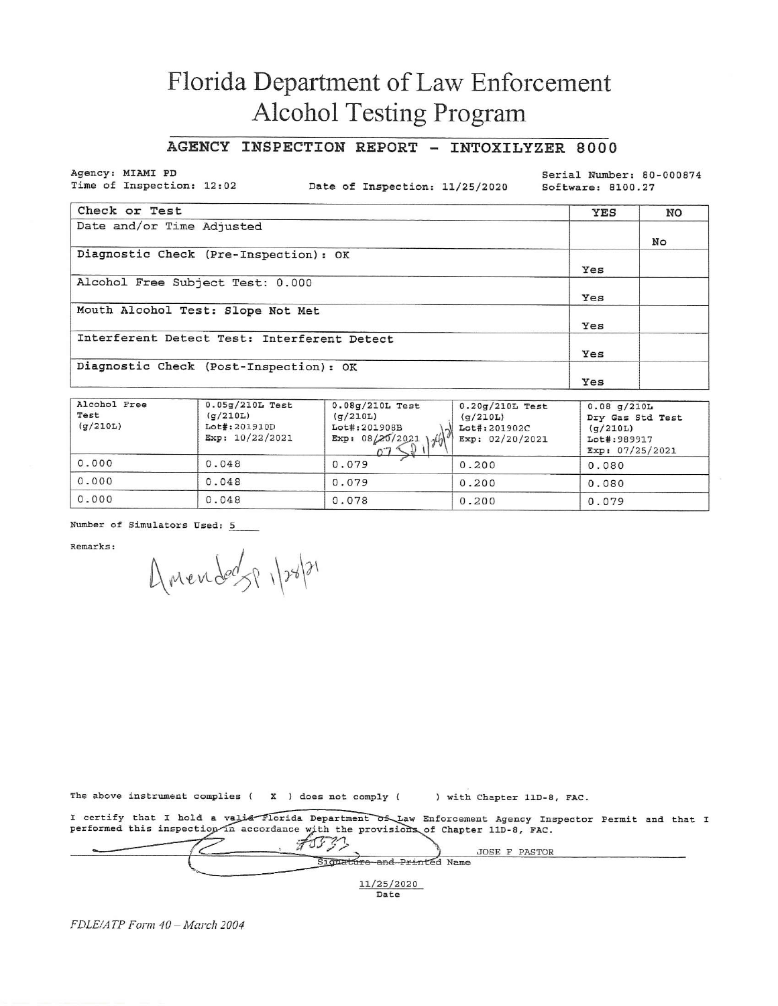# Florida Department of Law Enforcement Alcohol Testing Program

#### AGENCY INSPECTION REPORT -INTOXILYZER 8000

Agency: MIAMI PD Time of Inspection: 12:02

Date of Inspection: 11/25/2020

Serial Number: 80-000874 Software: 8100.27

| Check or Test                               | YES | NO |
|---------------------------------------------|-----|----|
| Date and/or Time Adjusted                   |     |    |
|                                             |     | Nο |
| Diagnostic Check (Pre-Inspection): OK       |     |    |
|                                             | Yes |    |
| Alcohol Free Subject Test: 0.000            |     |    |
|                                             | Yes |    |
| Mouth Alcohol Test: Slope Not Met           |     |    |
|                                             | Yes |    |
| Interferent Detect Test: Interferent Detect |     |    |
|                                             | Yes |    |
| Diagnostic Check (Post-Inspection): OK      |     |    |
|                                             | Yes |    |

| Alcohol Free<br>Test<br>(g/210L) | $0.05q/210L$ Test<br>(g/210L)<br>Lot#:201910D<br>Exp: 10/22/2021 | $0.08q/210L$ Test<br>(q/210L)<br>Lot#:201908B<br>Exp: $08/20/2021$ | $0.20g/210L$ Test<br>(q/210L)<br>Lot#:201902C<br>Exp: 02/20/2021 | $0.08$ q/210L<br>Dry Gas Std Test<br>(q/210L)<br>Lot#:989917<br>Exp: $07/25/2021$ |
|----------------------------------|------------------------------------------------------------------|--------------------------------------------------------------------|------------------------------------------------------------------|-----------------------------------------------------------------------------------|
| 0.000                            | 0.048                                                            | 0.079                                                              | 0.200                                                            | 0.080                                                                             |
| 0.000                            | 0.048                                                            | 0.079                                                              | 0.200                                                            | 0.080                                                                             |
| 0.000                            | 0.048                                                            | 0.078                                                              | 0.200                                                            | 0.079                                                                             |

Number of Simulators Used: 5

Remarks:

Amendats 1/28/21

The above instrument complies  $(X)$  does not comply  $(X)$ ) with Chapter 11D-8, FAC.

I certify that I hold a valid Florida Department of Law Enforcement Agency Inspector Permit and that I performed this inspection in accordance with the provisions of Chapter 11D-8, FAC.

オフテン JOSE F PASTOR Signature and Printed Name 11/25/2020 Date

FDLE/ATP Form 40 - March 2004